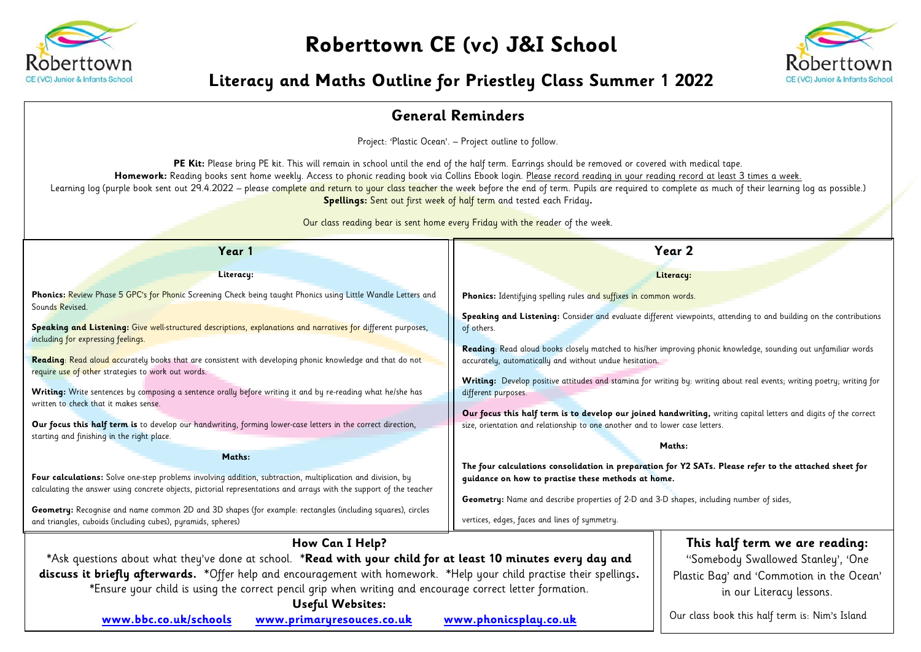

**Roberttown CE (vc) J&I School**



## **Literacy and Maths Outline for Priestley Class Summer 1 2022**

| <b>General Reminders</b>                                                                                                                                                                                                                                                                                                                                                                                                                                                                                                                                                                                                                                                                                                                                                                                                                                                                                                                                                                                                                                                                       |                                                                                                                                                                                                                                                                                                                                                                                                                                                                                                                                                                                                                                                                                                                                                                                                                                                                                                                                                                                           |  |  |  |  |  |  |
|------------------------------------------------------------------------------------------------------------------------------------------------------------------------------------------------------------------------------------------------------------------------------------------------------------------------------------------------------------------------------------------------------------------------------------------------------------------------------------------------------------------------------------------------------------------------------------------------------------------------------------------------------------------------------------------------------------------------------------------------------------------------------------------------------------------------------------------------------------------------------------------------------------------------------------------------------------------------------------------------------------------------------------------------------------------------------------------------|-------------------------------------------------------------------------------------------------------------------------------------------------------------------------------------------------------------------------------------------------------------------------------------------------------------------------------------------------------------------------------------------------------------------------------------------------------------------------------------------------------------------------------------------------------------------------------------------------------------------------------------------------------------------------------------------------------------------------------------------------------------------------------------------------------------------------------------------------------------------------------------------------------------------------------------------------------------------------------------------|--|--|--|--|--|--|
| Project: 'Plastic Ocean'. - Project outline to follow.                                                                                                                                                                                                                                                                                                                                                                                                                                                                                                                                                                                                                                                                                                                                                                                                                                                                                                                                                                                                                                         |                                                                                                                                                                                                                                                                                                                                                                                                                                                                                                                                                                                                                                                                                                                                                                                                                                                                                                                                                                                           |  |  |  |  |  |  |
| PE Kit: Please bring PE kit. This will remain in school until the end of the half term. Earrings should be removed or covered with medical tape.<br>Homework: Reading books sent home weekly. Access to phonic reading book via Collins Ebook login. Please record reading in your reading record at least 3 times a week.<br>Learning log (purple book sent out 29.4.2022 – please complete and return to your class teacher the week before the end of term. Pupils are required to complete as much of their learning log as possible.)<br>Spellings: Sent out first week of half term and tested each Friday.<br>Our class reading bear is sent home every Friday with the reader of the week.                                                                                                                                                                                                                                                                                                                                                                                             |                                                                                                                                                                                                                                                                                                                                                                                                                                                                                                                                                                                                                                                                                                                                                                                                                                                                                                                                                                                           |  |  |  |  |  |  |
| Year 1                                                                                                                                                                                                                                                                                                                                                                                                                                                                                                                                                                                                                                                                                                                                                                                                                                                                                                                                                                                                                                                                                         | Year 2                                                                                                                                                                                                                                                                                                                                                                                                                                                                                                                                                                                                                                                                                                                                                                                                                                                                                                                                                                                    |  |  |  |  |  |  |
| Literacy:                                                                                                                                                                                                                                                                                                                                                                                                                                                                                                                                                                                                                                                                                                                                                                                                                                                                                                                                                                                                                                                                                      | Literacy:                                                                                                                                                                                                                                                                                                                                                                                                                                                                                                                                                                                                                                                                                                                                                                                                                                                                                                                                                                                 |  |  |  |  |  |  |
| Phonics: Review Phase 5 GPC's for Phonic Screening Check being taught Phonics using Little Wandle Letters and                                                                                                                                                                                                                                                                                                                                                                                                                                                                                                                                                                                                                                                                                                                                                                                                                                                                                                                                                                                  | Phonics: Identifying spelling rules and suffixes in common words.                                                                                                                                                                                                                                                                                                                                                                                                                                                                                                                                                                                                                                                                                                                                                                                                                                                                                                                         |  |  |  |  |  |  |
| Sounds Revised.<br>Speaking and Listening: Give well-structured descriptions, explanations and narratives for different purposes,<br>including for expressing feelings.<br>Reading: Read aloud accurately books that are consistent with developing phonic knowledge and that do not<br>require use of other strategies to work out words.<br>Writing: Write sentences by composing a sentence orally before writing it and by re-reading what he/she has<br>written to check that it makes sense.<br>Our focus this half term is to develop our handwriting, forming lower-case letters in the correct direction,<br>starting and finishing in the right place.<br>Maths:<br>Four calculations: Solve one-step problems involving addition, subtraction, multiplication and division, by<br>calculating the answer using concrete objects, pictorial representations and arrays with the support of the teacher<br>Geometry: Recognise and name common 2D and 3D shapes (for example: rectangles (including squares), circles<br>and triangles, cuboids (including cubes), pyramids, spheres) | Speaking and Listening: Consider and evaluate different viewpoints, attending to and building on the contributions<br>of others.<br>Reading: Read aloud books closely matched to his/her improving phonic knowledge, sounding out unfamiliar words<br>accurately, automatically and without undue hesitation.<br>Writing: Develop positive attitudes and stamina for writing by: writing about real events; writing poetry; writing for<br>different purposes.<br>Our focus this half term is to develop our joined handwriting, writing capital letters and digits of the correct<br>size, orientation and relationship to one another and to lower case letters.<br>Maths:<br>The four calculations consolidation in preparation for Y2 SATs. Please refer to the attached sheet for<br>guidance on how to practise these methods at home.<br>Geometry: Name and describe properties of 2-D and 3-D shapes, including number of sides,<br>vertices, edges, faces and lines of symmetry. |  |  |  |  |  |  |
| How Can I Help?<br>*Ask questions about what they've done at school. *Read with your child for at least 10 minutes every day and<br>discuss it briefly afterwards. *Offer help and encouragement with homework. *Help your child practise their spellings.<br>*Ensure your child is using the correct pencil grip when writing and encourage correct letter formation.<br><b>Useful Websites:</b>                                                                                                                                                                                                                                                                                                                                                                                                                                                                                                                                                                                                                                                                                              | This half term we are reading:<br>"Somebody Swallowed Stanley', 'One<br>Plastic Bag' and 'Commotion in the Ocean'<br>in our Literacy lessons.                                                                                                                                                                                                                                                                                                                                                                                                                                                                                                                                                                                                                                                                                                                                                                                                                                             |  |  |  |  |  |  |
| www.bbc.co.uk/schools<br>www.primaryresouces.co.uk                                                                                                                                                                                                                                                                                                                                                                                                                                                                                                                                                                                                                                                                                                                                                                                                                                                                                                                                                                                                                                             | Our class book this half term is: Nim's Island<br>www.phonicsplay.co.uk                                                                                                                                                                                                                                                                                                                                                                                                                                                                                                                                                                                                                                                                                                                                                                                                                                                                                                                   |  |  |  |  |  |  |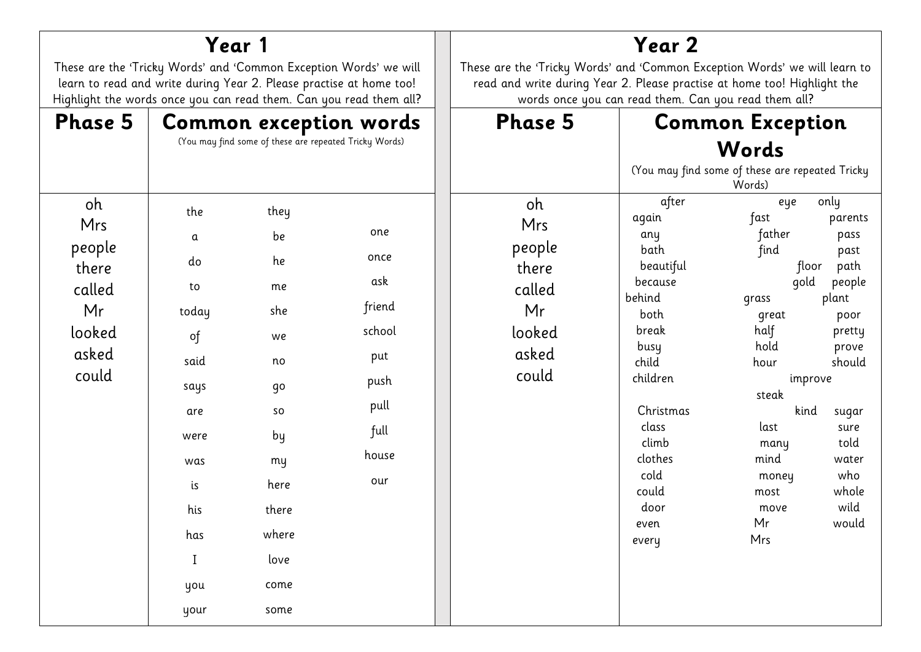| Year 1                                                                                                                                                                                                         |                                                                                                           |                                                                                                     | Year 2                                                                                                                                                                                                         |                                                                          |                                                                                                                                                                                                   |                                                                                                                                                                                    |                                                                                                                                                                    |  |
|----------------------------------------------------------------------------------------------------------------------------------------------------------------------------------------------------------------|-----------------------------------------------------------------------------------------------------------|-----------------------------------------------------------------------------------------------------|----------------------------------------------------------------------------------------------------------------------------------------------------------------------------------------------------------------|--------------------------------------------------------------------------|---------------------------------------------------------------------------------------------------------------------------------------------------------------------------------------------------|------------------------------------------------------------------------------------------------------------------------------------------------------------------------------------|--------------------------------------------------------------------------------------------------------------------------------------------------------------------|--|
| These are the 'Tricky Words' and 'Common Exception Words' we will<br>learn to read and write during Year 2. Please practise at home too!<br>Highlight the words once you can read them. Can you read them all? |                                                                                                           |                                                                                                     | These are the 'Tricky Words' and 'Common Exception Words' we will learn to<br>read and write during Year 2. Please practise at home too! Highlight the<br>words once you can read them. Can you read them all? |                                                                          |                                                                                                                                                                                                   |                                                                                                                                                                                    |                                                                                                                                                                    |  |
| <b>Phase 5</b>                                                                                                                                                                                                 | Common exception words<br>(You may find some of these are repeated Tricky Words)                          |                                                                                                     |                                                                                                                                                                                                                | Phase 5                                                                  |                                                                                                                                                                                                   | <b>Common Exception</b><br>Words<br>(You may find some of these are repeated Tricky<br>Words)                                                                                      |                                                                                                                                                                    |  |
| oh<br>Mrs<br>people<br>there<br>called<br>Mr<br>looked<br>asked<br>could                                                                                                                                       | the<br>a<br>do<br>to<br>today<br>of<br>said<br>says<br>are<br>were<br>was<br>is<br>his<br>has<br>$\bf{I}$ | they<br>be<br>he<br>me<br>she<br>we<br>no<br>qo<br>so<br>by<br>my<br>here<br>there<br>where<br>love | one<br>once<br>ask<br>friend<br>school<br>put<br>push<br>pull<br>full<br>house<br>our                                                                                                                          | 0h<br>Mrs<br>people<br>there<br>called<br>Mr<br>looked<br>asked<br>could | after<br>again<br>any<br>bath<br>beautiful<br>because<br>behind<br>both<br>break<br>busy<br>child<br>children<br>Christmas<br>class<br>climb<br>clothes<br>cold<br>could<br>door<br>even<br>every | eye<br>fast<br>father<br>find<br>floor<br>gold<br>grass<br>great<br>half<br>hold<br>hour<br>improve<br>steak<br>kind<br>last<br>many<br>mind<br>money<br>most<br>move<br>Mr<br>Mrs | only<br>parents<br>pass<br>past<br>path<br>people<br>plant<br>poor<br>pretty<br>prove<br>should<br>sugar<br>sure<br>told<br>water<br>who<br>whole<br>wild<br>would |  |
|                                                                                                                                                                                                                | you<br>your                                                                                               | come<br>some                                                                                        |                                                                                                                                                                                                                |                                                                          |                                                                                                                                                                                                   |                                                                                                                                                                                    |                                                                                                                                                                    |  |